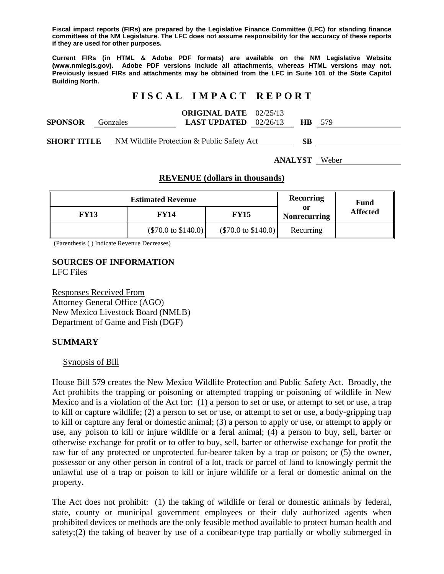**Fiscal impact reports (FIRs) are prepared by the Legislative Finance Committee (LFC) for standing finance committees of the NM Legislature. The LFC does not assume responsibility for the accuracy of these reports if they are used for other purposes.** 

**Current FIRs (in HTML & Adobe PDF formats) are available on the NM Legislative Website (www.nmlegis.gov). Adobe PDF versions include all attachments, whereas HTML versions may not. Previously issued FIRs and attachments may be obtained from the LFC in Suite 101 of the State Capitol Building North.**

## **F I S C A L I M P A C T R E P O R T**

|                |          |                                            | <b>ORIGINAL DATE</b> $02/25/13$ |  |     |       |
|----------------|----------|--------------------------------------------|---------------------------------|--|-----|-------|
| <b>SPONSOR</b> | Gonzales |                                            | <b>LAST UPDATED</b> $02/26/13$  |  | HR. | - 579 |
|                |          |                                            |                                 |  |     |       |
| SHORT TITLE    |          | NM Wildlife Protection & Public Safety Act |                                 |  | SВ  |       |

**ANALYST** Weber

### **REVENUE (dollars in thousands)**

|             | <b>Estimated Revenue</b>       | <b>Recurring</b>               | <b>Fund</b><br><b>Affected</b> |                           |
|-------------|--------------------------------|--------------------------------|--------------------------------|---------------------------|
| <b>FY13</b> | <b>FY14</b>                    |                                |                                | or<br><b>Nonrecurring</b> |
|             | $(\$70.0 \text{ to } \$140.0)$ | $(\$70.0 \text{ to } \$140.0)$ | Recurring                      |                           |

(Parenthesis ( ) Indicate Revenue Decreases)

#### **SOURCES OF INFORMATION**  LFC Files

Responses Received From Attorney General Office (AGO) New Mexico Livestock Board (NMLB) Department of Game and Fish (DGF)

### **SUMMARY**

#### Synopsis of Bill

House Bill 579 creates the New Mexico Wildlife Protection and Public Safety Act. Broadly, the Act prohibits the trapping or poisoning or attempted trapping or poisoning of wildlife in New Mexico and is a violation of the Act for: (1) a person to set or use, or attempt to set or use, a trap to kill or capture wildlife; (2) a person to set or use, or attempt to set or use, a body-gripping trap to kill or capture any feral or domestic animal; (3) a person to apply or use, or attempt to apply or use, any poison to kill or injure wildlife or a feral animal; (4) a person to buy, sell, barter or otherwise exchange for profit or to offer to buy, sell, barter or otherwise exchange for profit the raw fur of any protected or unprotected fur-bearer taken by a trap or poison; or (5) the owner, possessor or any other person in control of a lot, track or parcel of land to knowingly permit the unlawful use of a trap or poison to kill or injure wildlife or a feral or domestic animal on the property.

The Act does not prohibit: (1) the taking of wildlife or feral or domestic animals by federal, state, county or municipal government employees or their duly authorized agents when prohibited devices or methods are the only feasible method available to protect human health and safety;(2) the taking of beaver by use of a conibear-type trap partially or wholly submerged in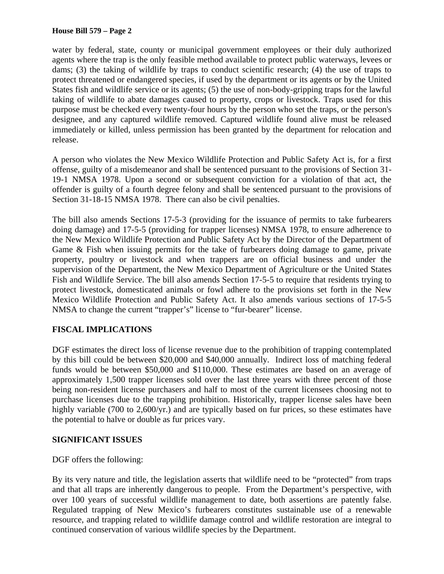water by federal, state, county or municipal government employees or their duly authorized agents where the trap is the only feasible method available to protect public waterways, levees or dams; (3) the taking of wildlife by traps to conduct scientific research; (4) the use of traps to protect threatened or endangered species, if used by the department or its agents or by the United States fish and wildlife service or its agents; (5) the use of non-body-gripping traps for the lawful taking of wildlife to abate damages caused to property, crops or livestock. Traps used for this purpose must be checked every twenty-four hours by the person who set the traps, or the person's designee, and any captured wildlife removed. Captured wildlife found alive must be released immediately or killed, unless permission has been granted by the department for relocation and release.

A person who violates the New Mexico Wildlife Protection and Public Safety Act is, for a first offense, guilty of a misdemeanor and shall be sentenced pursuant to the provisions of Section 31- 19-1 NMSA 1978. Upon a second or subsequent conviction for a violation of that act, the offender is guilty of a fourth degree felony and shall be sentenced pursuant to the provisions of Section 31-18-15 NMSA 1978. There can also be civil penalties.

The bill also amends Sections 17-5-3 (providing for the issuance of permits to take furbearers doing damage) and 17-5-5 (providing for trapper licenses) NMSA 1978, to ensure adherence to the New Mexico Wildlife Protection and Public Safety Act by the Director of the Department of Game & Fish when issuing permits for the take of furbearers doing damage to game, private property, poultry or livestock and when trappers are on official business and under the supervision of the Department, the New Mexico Department of Agriculture or the United States Fish and Wildlife Service. The bill also amends Section 17-5-5 to require that residents trying to protect livestock, domesticated animals or fowl adhere to the provisions set forth in the New Mexico Wildlife Protection and Public Safety Act. It also amends various sections of 17-5-5 NMSA to change the current "trapper's" license to "fur-bearer" license.

# **FISCAL IMPLICATIONS**

DGF estimates the direct loss of license revenue due to the prohibition of trapping contemplated by this bill could be between \$20,000 and \$40,000 annually. Indirect loss of matching federal funds would be between \$50,000 and \$110,000. These estimates are based on an average of approximately 1,500 trapper licenses sold over the last three years with three percent of those being non-resident license purchasers and half to most of the current licensees choosing not to purchase licenses due to the trapping prohibition. Historically, trapper license sales have been highly variable (700 to 2,600/yr.) and are typically based on fur prices, so these estimates have the potential to halve or double as fur prices vary.

## **SIGNIFICANT ISSUES**

DGF offers the following:

By its very nature and title, the legislation asserts that wildlife need to be "protected" from traps and that all traps are inherently dangerous to people. From the Department's perspective, with over 100 years of successful wildlife management to date, both assertions are patently false. Regulated trapping of New Mexico's furbearers constitutes sustainable use of a renewable resource, and trapping related to wildlife damage control and wildlife restoration are integral to continued conservation of various wildlife species by the Department.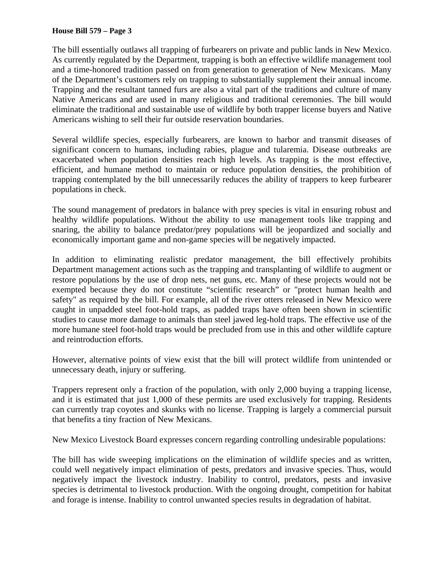#### **House Bill 579 – Page 3**

The bill essentially outlaws all trapping of furbearers on private and public lands in New Mexico. As currently regulated by the Department, trapping is both an effective wildlife management tool and a time-honored tradition passed on from generation to generation of New Mexicans. Many of the Department's customers rely on trapping to substantially supplement their annual income. Trapping and the resultant tanned furs are also a vital part of the traditions and culture of many Native Americans and are used in many religious and traditional ceremonies. The bill would eliminate the traditional and sustainable use of wildlife by both trapper license buyers and Native Americans wishing to sell their fur outside reservation boundaries.

Several wildlife species, especially furbearers, are known to harbor and transmit diseases of significant concern to humans, including rabies, plague and tularemia. Disease outbreaks are exacerbated when population densities reach high levels. As trapping is the most effective, efficient, and humane method to maintain or reduce population densities, the prohibition of trapping contemplated by the bill unnecessarily reduces the ability of trappers to keep furbearer populations in check.

The sound management of predators in balance with prey species is vital in ensuring robust and healthy wildlife populations. Without the ability to use management tools like trapping and snaring, the ability to balance predator/prey populations will be jeopardized and socially and economically important game and non-game species will be negatively impacted.

In addition to eliminating realistic predator management, the bill effectively prohibits Department management actions such as the trapping and transplanting of wildlife to augment or restore populations by the use of drop nets, net guns, etc. Many of these projects would not be exempted because they do not constitute "scientific research" or "protect human health and safety" as required by the bill. For example, all of the river otters released in New Mexico were caught in unpadded steel foot-hold traps, as padded traps have often been shown in scientific studies to cause more damage to animals than steel jawed leg-hold traps. The effective use of the more humane steel foot-hold traps would be precluded from use in this and other wildlife capture and reintroduction efforts.

However, alternative points of view exist that the bill will protect wildlife from unintended or unnecessary death, injury or suffering.

Trappers represent only a fraction of the population, with only 2,000 buying a trapping license, and it is estimated that just 1,000 of these permits are used exclusively for trapping. Residents can currently trap coyotes and skunks with no license. Trapping is largely a commercial pursuit that benefits a tiny fraction of New Mexicans.

New Mexico Livestock Board expresses concern regarding controlling undesirable populations:

The bill has wide sweeping implications on the elimination of wildlife species and as written, could well negatively impact elimination of pests, predators and invasive species. Thus, would negatively impact the livestock industry. Inability to control, predators, pests and invasive species is detrimental to livestock production. With the ongoing drought, competition for habitat and forage is intense. Inability to control unwanted species results in degradation of habitat.